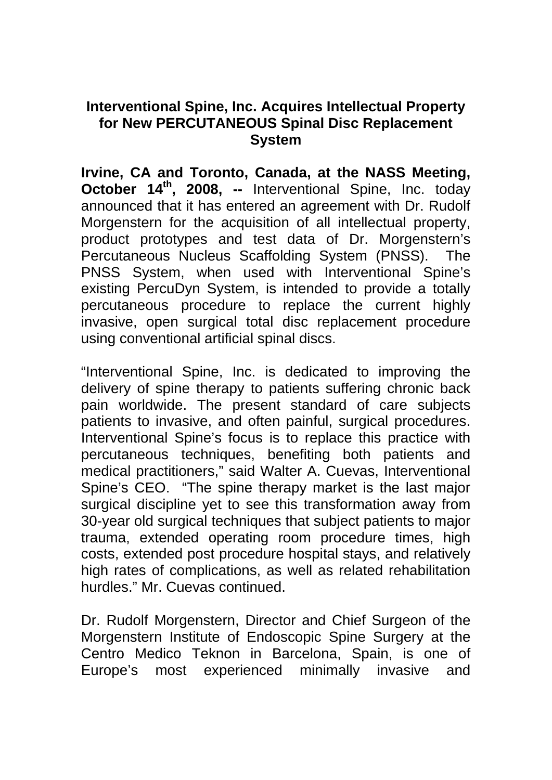## **Interventional Spine, Inc. Acquires Intellectual Property for New PERCUTANEOUS Spinal Disc Replacement System**

**Irvine, CA and Toronto, Canada, at the NASS Meeting, October 14<sup>th</sup>, 2008, --** Interventional Spine, Inc. today announced that it has entered an agreement with Dr. Rudolf Morgenstern for the acquisition of all intellectual property, product prototypes and test data of Dr. Morgenstern's Percutaneous Nucleus Scaffolding System (PNSS). The PNSS System, when used with Interventional Spine's existing PercuDyn System, is intended to provide a totally percutaneous procedure to replace the current highly invasive, open surgical total disc replacement procedure using conventional artificial spinal discs.

"Interventional Spine, Inc. is dedicated to improving the delivery of spine therapy to patients suffering chronic back pain worldwide. The present standard of care subjects patients to invasive, and often painful, surgical procedures. Interventional Spine's focus is to replace this practice with percutaneous techniques, benefiting both patients and medical practitioners," said Walter A. Cuevas, Interventional Spine's CEO. "The spine therapy market is the last major surgical discipline yet to see this transformation away from 30-year old surgical techniques that subject patients to major trauma, extended operating room procedure times, high costs, extended post procedure hospital stays, and relatively high rates of complications, as well as related rehabilitation hurdles." Mr. Cuevas continued.

Dr. Rudolf Morgenstern, Director and Chief Surgeon of the Morgenstern Institute of Endoscopic Spine Surgery at the Centro Medico Teknon in Barcelona, Spain, is one of Europe's most experienced minimally invasive and